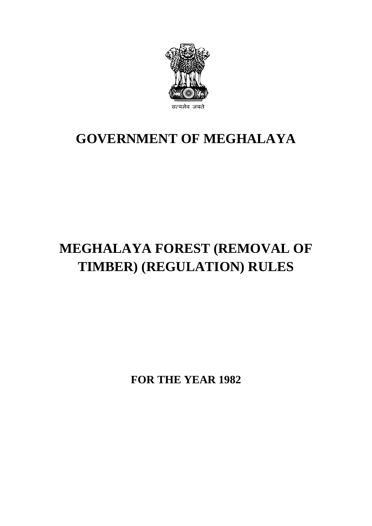

## **GOVERNMENT OF MEGHALAYA**

# **MEGHALAYA FOREST (REMOVAL OF TIMBER) (REGULATION) RULES**

**FOR THE YEAR 1982**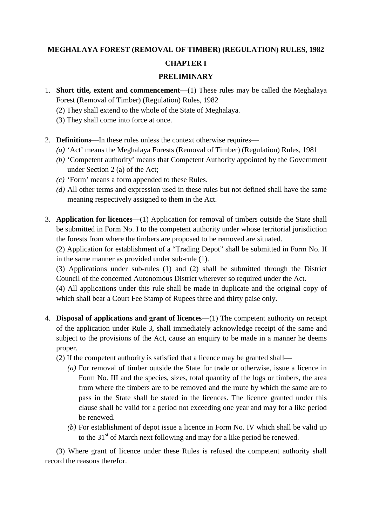## **MEGHALAYA FOREST (REMOVAL OF TIMBER) (REGULATION) RULES, 1982 CHAPTER I**

#### **PRELIMINARY**

- 1. **Short title, extent and commencement**—(1) These rules may be called the Meghalaya Forest (Removal of Timber) (Regulation) Rules, 1982
	- (2) They shall extend to the whole of the State of Meghalaya.
	- (3) They shall come into force at once.
- 2. **Definitions**—In these rules unless the context otherwise requires—
	- *(a)* 'Act' means the Meghalaya Forests (Removal of Timber) (Regulation) Rules, 1981
	- *(b)* 'Competent authority' means that Competent Authority appointed by the Government under Section 2 (a) of the Act;
	- *(c)* 'Form' means a form appended to these Rules.
	- *(d)* All other terms and expression used in these rules but not defined shall have the same meaning respectively assigned to them in the Act.
- 3. **Application for licences**—(1) Application for removal of timbers outside the State shall be submitted in Form No. I to the competent authority under whose territorial jurisdiction the forests from where the timbers are proposed to be removed are situated.
	- (2) Application for establishment of a "Trading Depot" shall be submitted in Form No. II in the same manner as provided under sub-rule (1).

(3) Applications under sub-rules (1) and (2) shall be submitted through the District Council of the concerned Autonomous District wherever so required under the Act.

(4) All applications under this rule shall be made in duplicate and the original copy of which shall bear a Court Fee Stamp of Rupees three and thirty paise only.

- 4. **Disposal of applications and grant of licences**—(1) The competent authority on receipt of the application under Rule 3, shall immediately acknowledge receipt of the same and subject to the provisions of the Act, cause an enquiry to be made in a manner he deems proper.
	- (2) If the competent authority is satisfied that a licence may be granted shall—
		- *(a)* For removal of timber outside the State for trade or otherwise, issue a licence in Form No. III and the species, sizes, total quantity of the logs or timbers, the area from where the timbers are to be removed and the route by which the same are to pass in the State shall be stated in the licences. The licence granted under this clause shall be valid for a period not exceeding one year and may for a like period be renewed.
		- *(b)* For establishment of depot issue a licence in Form No. IV which shall be valid up to the  $31<sup>st</sup>$  of March next following and may for a like period be renewed.

 (3) Where grant of licence under these Rules is refused the competent authority shall record the reasons therefor.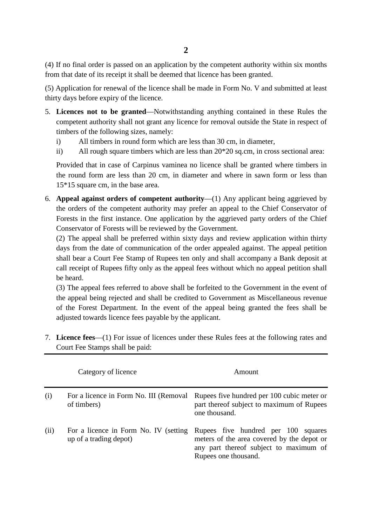(4) If no final order is passed on an application by the competent authority within six months from that date of its receipt it shall be deemed that licence has been granted.

(5) Application for renewal of the licence shall be made in Form No. V and submitted at least thirty days before expiry of the licence.

- 5. **Licences not to be granted**—Notwithstanding anything contained in these Rules the competent authority shall not grant any licence for removal outside the State in respect of timbers of the following sizes, namely:
	- i) All timbers in round form which are less than 30 cm, in diameter,
	- ii) All rough square timbers which are less than 20\*20 sq.cm, in cross sectional area:

Provided that in case of Carpinus vaminea no licence shall be granted where timbers in the round form are less than 20 cm, in diameter and where in sawn form or less than 15\*15 square cm, in the base area.

6. **Appeal against orders of competent authority**—(1) Any applicant being aggrieved by the orders of the competent authority may prefer an appeal to the Chief Conservator of Forests in the first instance. One application by the aggrieved party orders of the Chief Conservator of Forests will be reviewed by the Government.

(2) The appeal shall be preferred within sixty days and review application within thirty days from the date of communication of the order appealed against. The appeal petition shall bear a Court Fee Stamp of Rupees ten only and shall accompany a Bank deposit at call receipt of Rupees fifty only as the appeal fees without which no appeal petition shall be heard.

(3) The appeal fees referred to above shall be forfeited to the Government in the event of the appeal being rejected and shall be credited to Government as Miscellaneous revenue of the Forest Department. In the event of the appeal being granted the fees shall be adjusted towards licence fees payable by the applicant.

7. **Licence fees**—(1) For issue of licences under these Rules fees at the following rates and Court Fee Stamps shall be paid:

|      | Category of licence                                             | Amount                                                                                                                                              |  |  |  |
|------|-----------------------------------------------------------------|-----------------------------------------------------------------------------------------------------------------------------------------------------|--|--|--|
| (i)  | For a licence in Form No. III (Removal<br>of timbers)           | Rupees five hundred per 100 cubic meter or<br>part thereof subject to maximum of Rupees<br>one thousand.                                            |  |  |  |
| (ii) | For a licence in Form No. IV (setting<br>up of a trading depot) | Rupees five hundred per 100 squares<br>meters of the area covered by the depot or<br>any part thereof subject to maximum of<br>Rupees one thousand. |  |  |  |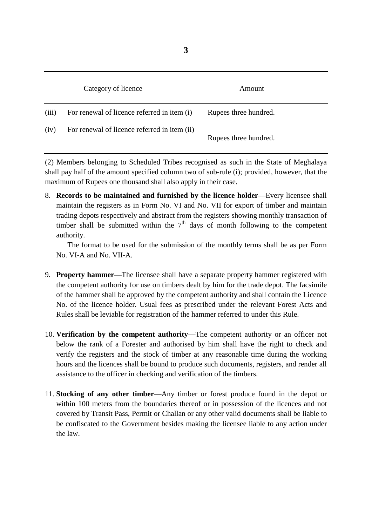|       | Category of licence                          | Amount                |  |
|-------|----------------------------------------------|-----------------------|--|
| (iii) | For renewal of licence referred in item (i)  | Rupees three hundred. |  |
| (iv)  | For renewal of licence referred in item (ii) | Rupees three hundred. |  |

(2) Members belonging to Scheduled Tribes recognised as such in the State of Meghalaya shall pay half of the amount specified column two of sub-rule (i); provided, however, that the maximum of Rupees one thousand shall also apply in their case.

8. **Records to be maintained and furnished by the licence holder**—Every licensee shall maintain the registers as in Form No. VI and No. VII for export of timber and maintain trading depots respectively and abstract from the registers showing monthly transaction of timber shall be submitted within the  $7<sup>th</sup>$  days of month following to the competent authority.

The format to be used for the submission of the monthly terms shall be as per Form No. VI-A and No. VII-A.

- 9. **Property hammer**—The licensee shall have a separate property hammer registered with the competent authority for use on timbers dealt by him for the trade depot. The facsimile of the hammer shall be approved by the competent authority and shall contain the Licence No. of the licence holder. Usual fees as prescribed under the relevant Forest Acts and Rules shall be leviable for registration of the hammer referred to under this Rule.
- 10. **Verification by the competent authority**—The competent authority or an officer not below the rank of a Forester and authorised by him shall have the right to check and verify the registers and the stock of timber at any reasonable time during the working hours and the licences shall be bound to produce such documents, registers, and render all assistance to the officer in checking and verification of the timbers.
- 11. **Stocking of any other timber**—Any timber or forest produce found in the depot or within 100 meters from the boundaries thereof or in possession of the licences and not covered by Transit Pass, Permit or Challan or any other valid documents shall be liable to be confiscated to the Government besides making the licensee liable to any action under the law.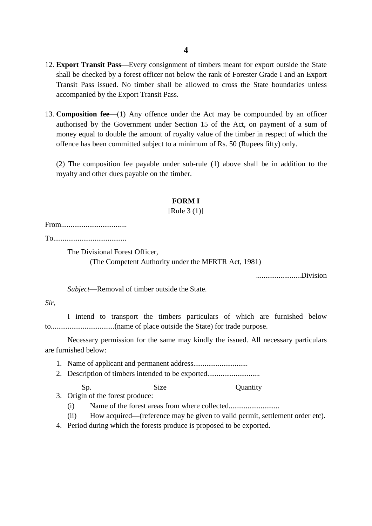- 12. **Export Transit Pass**—Every consignment of timbers meant for export outside the State shall be checked by a forest officer not below the rank of Forester Grade I and an Export Transit Pass issued. No timber shall be allowed to cross the State boundaries unless accompanied by the Export Transit Pass.
- 13. **Composition fee**—(1) Any offence under the Act may be compounded by an officer authorised by the Government under Section 15 of the Act, on payment of a sum of money equal to double the amount of royalty value of the timber in respect of which the offence has been committed subject to a minimum of Rs. 50 (Rupees fifty) only.

(2) The composition fee payable under sub-rule (1) above shall be in addition to the royalty and other dues payable on the timber.

#### **FORM I**

#### [Rule 3 (1)]

From...................................

To.......................................

The Divisional Forest Officer,

(The Competent Authority under the MFRTR Act, 1981)

........................Division

*Subject*—Removal of timber outside the State.

#### *Sir,*

I intend to transport the timbers particulars of which are furnished below to..................................(name of place outside the State) for trade purpose.

Necessary permission for the same may kindly the issued. All necessary particulars are furnished below:

- 1. Name of applicant and permanent address.............................
- 2. Description of timbers intended to be exported................................

Sp. Size Quantity

3. Origin of the forest produce:

(i) Name of the forest areas from where collected................................

(ii) How acquired—(reference may be given to valid permit, settlement order etc).

4. Period during which the forests produce is proposed to be exported.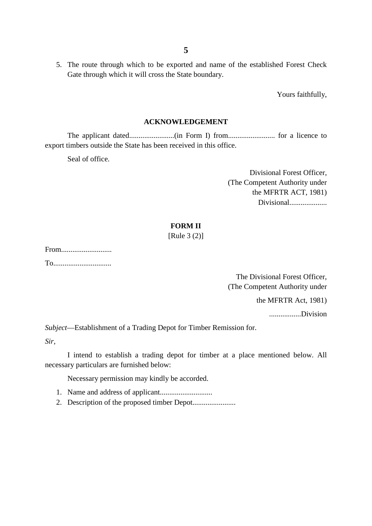5. The route through which to be exported and name of the established Forest Check Gate through which it will cross the State boundary.

Yours faithfully,

#### **ACKNOWLEDGEMENT**

The applicant dated........................(in Form I) from......................... for a licence to export timbers outside the State has been received in this office.

Seal of office.

Divisional Forest Officer, (The Competent Authority under the MFRTR ACT, 1981) Divisional....................

#### **FORM II**

[Rule 3 (2)]

From........................... To...............................

> The Divisional Forest Officer, (The Competent Authority under

> > the MFRTR Act, 1981)

.................Division

*Subject*—Establishment of a Trading Depot for Timber Remission for.

*Sir,* 

I intend to establish a trading depot for timber at a place mentioned below. All necessary particulars are furnished below:

Necessary permission may kindly be accorded.

- 1. Name and address of applicant............................
- 2. Description of the proposed timber Depot.......................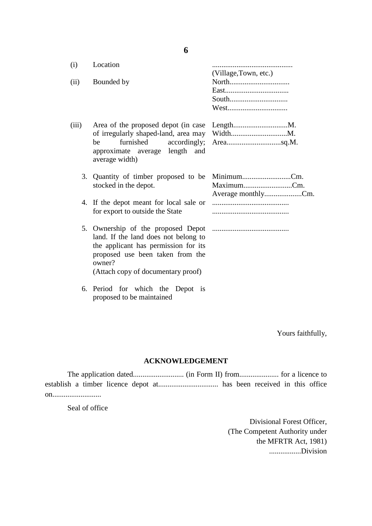| (i)   | Location                                                                                                                                                         |                                                |
|-------|------------------------------------------------------------------------------------------------------------------------------------------------------------------|------------------------------------------------|
| (ii)  | Bounded by                                                                                                                                                       | (Village, Town, etc.)<br>South<br>West         |
| (iii) | furnished<br>be<br>approximate average length and<br>average width)                                                                                              |                                                |
|       | 3. Quantity of timber proposed to be<br>stocked in the depot.                                                                                                    | MinimumCm.<br>MaximumCm.<br>Average monthlyCm. |
|       | 4. If the depot meant for local sale or<br>for export to outside the State                                                                                       |                                                |
|       | land. If the land does not belong to<br>the applicant has permission for its<br>proposed use been taken from the<br>owner?<br>(Attach copy of documentary proof) |                                                |

6. Period for which the Depot is proposed to be maintained

Yours faithfully,

#### **ACKNOWLEDGEMENT**

The application dated........................... (in Form II) from..................... for a licence to establish a timber licence depot at................................ has been received in this office on..........................

Seal of office

Divisional Forest Officer, (The Competent Authority under the MFRTR Act, 1981) .................Division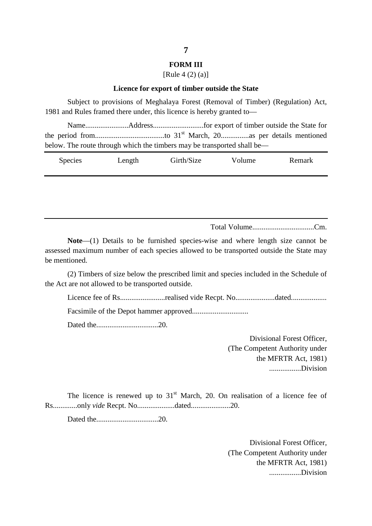#### **FORM III**

#### [Rule 4 (2) (a)]

#### **Licence for export of timber outside the State**

Subject to provisions of Meghalaya Forest (Removal of Timber) (Regulation) Act, 1981 and Rules framed there under, this licence is hereby granted to—

Name.......................Address...........................for export of timber outside the State for the period from.....................................to 31st March, 20...............as per details mentioned below. The route through which the timbers may be transported shall be—

| <b>Species</b> | Length | Girth/Size | Volume | Remark |
|----------------|--------|------------|--------|--------|
|----------------|--------|------------|--------|--------|

Total Volume.................................Cm.

**Note**—(1) Details to be furnished species-wise and where length size cannot be assessed maximum number of each species allowed to be transported outside the State may be mentioned.

(2) Timbers of size below the prescribed limit and species included in the Schedule of the Act are not allowed to be transported outside.

Licence fee of Rs........................realised vide Recpt. No.....................dated...................

Facsimile of the Depot hammer approved..............................

Dated the.................................20.

Divisional Forest Officer, (The Competent Authority under the MFRTR Act, 1981) .................Division

The licence is renewed up to  $31<sup>st</sup>$  March, 20. On realisation of a licence fee of Rs.............only *vide* Recpt. No....................dated.....................20.

Dated the.................................20.

Divisional Forest Officer, (The Competent Authority under the MFRTR Act, 1981) .................Division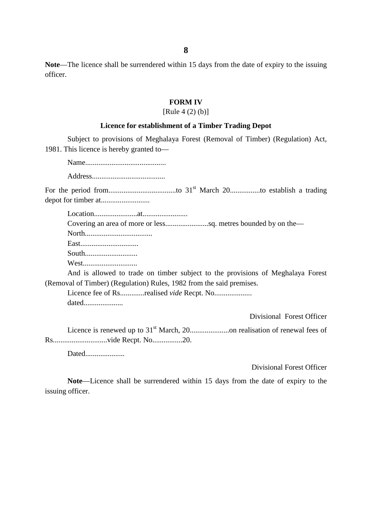**Note**—The licence shall be surrendered within 15 days from the date of expiry to the issuing officer.

#### **FORM IV**

#### [Rule  $4(2)(b)$ ]

#### **Licence for establishment of a Timber Trading Depot**

Subject to provisions of Meghalaya Forest (Removal of Timber) (Regulation) Act, 1981. This licence is hereby granted to—

Name...........................................

Address.......................................

For the period from....................................to 31st March 20................to establish a trading depot for timber at..........................

Location.......................at........................

Covering an area of more or less.......................sq. metres bounded by on the—

North....................................

East...............................

South............................

West.............................

And is allowed to trade on timber subject to the provisions of Meghalaya Forest (Removal of Timber) (Regulation) Rules, 1982 from the said premises.

Licence fee of Rs.............realised *vide* Recpt. No.................... dated.....................

Divisional Forest Officer

Licence is renewed up to 31st March, 20.....................on realisation of renewal fees of Rs.............................vide Recpt. No................20.

Dated....................

Divisional Forest Officer

**Note**—Licence shall be surrendered within 15 days from the date of expiry to the issuing officer.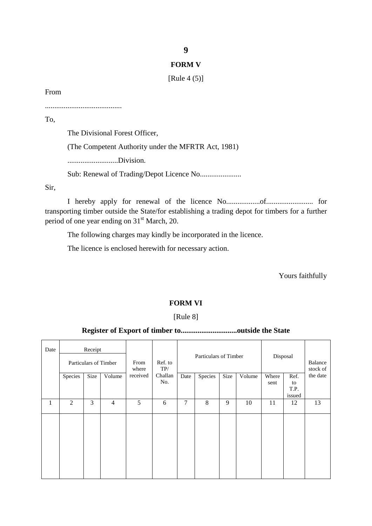#### **9**

#### **FORM V**

[Rule 4 (5)]

From

.........................................

To,

The Divisional Forest Officer,

(The Competent Authority under the MFRTR Act, 1981)

...........................Division.

Sub: Renewal of Trading/Depot Licence No......................

Sir,

I hereby apply for renewal of the licence No..................of......................... for transporting timber outside the State/for establishing a trading depot for timbers for a further period of one year ending on  $31<sup>st</sup>$  March, 20.

The following charges may kindly be incorporated in the licence.

The licence is enclosed herewith for necessary action.

Yours faithfully

#### **FORM VI**

#### [Rule 8]

#### **Register of Export of timber to..............................outside the State**

| Date | Receipt<br>Particulars of Timber |      | From<br>where | Ref. to<br>TP/ |                | Particulars of Timber |         |      | Disposal |               | Balance<br>stock of |          |
|------|----------------------------------|------|---------------|----------------|----------------|-----------------------|---------|------|----------|---------------|---------------------|----------|
|      | Species                          | Size | Volume        | received       | Challan<br>No. | Date                  | Species | Size | Volume   | Where<br>sent | Ref.<br>to          | the date |
|      |                                  |      |               |                |                |                       |         |      |          |               | T.P.                |          |
|      |                                  |      |               |                |                |                       |         |      |          |               | issued              |          |
| 1    | $\mathbf{2}$                     | 3    | 4             | 5              | 6              | 7                     | 8       | 9    | 10       | 11            | 12                  | 13       |
|      |                                  |      |               |                |                |                       |         |      |          |               |                     |          |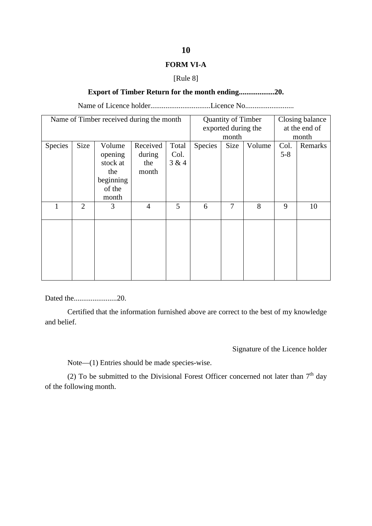#### **FORM VI-A**

#### [Rule 8]

#### **Export of Timber Return for the month ending...................20.**

Name of Licence holder................................Licence No..........................

|         |                | Name of Timber received during the month |                |       | <b>Quantity of Timber</b><br>exported during the |             |        | Closing balance<br>at the end of |         |
|---------|----------------|------------------------------------------|----------------|-------|--------------------------------------------------|-------------|--------|----------------------------------|---------|
|         |                |                                          |                |       | month                                            |             |        | month                            |         |
| Species | <b>Size</b>    | Volume                                   | Received       | Total | Species                                          | <b>Size</b> | Volume | Col.                             | Remarks |
|         |                | opening                                  | during         | Col.  |                                                  |             |        | $5 - 8$                          |         |
|         |                | stock at                                 | the            | 3 & 4 |                                                  |             |        |                                  |         |
|         |                | the                                      | month          |       |                                                  |             |        |                                  |         |
|         |                | beginning                                |                |       |                                                  |             |        |                                  |         |
|         |                | of the                                   |                |       |                                                  |             |        |                                  |         |
|         |                | month                                    |                |       |                                                  |             |        |                                  |         |
|         | $\overline{2}$ | 3                                        | $\overline{4}$ | 5     | 6                                                | 7           | 8      | 9                                | 10      |
|         |                |                                          |                |       |                                                  |             |        |                                  |         |
|         |                |                                          |                |       |                                                  |             |        |                                  |         |
|         |                |                                          |                |       |                                                  |             |        |                                  |         |
|         |                |                                          |                |       |                                                  |             |        |                                  |         |
|         |                |                                          |                |       |                                                  |             |        |                                  |         |
|         |                |                                          |                |       |                                                  |             |        |                                  |         |
|         |                |                                          |                |       |                                                  |             |        |                                  |         |
|         |                |                                          |                |       |                                                  |             |        |                                  |         |

Dated the.......................20.

Certified that the information furnished above are correct to the best of my knowledge and belief.

Signature of the Licence holder

Note—(1) Entries should be made species-wise.

(2) To be submitted to the Divisional Forest Officer concerned not later than  $7<sup>th</sup>$  day of the following month.

#### **10**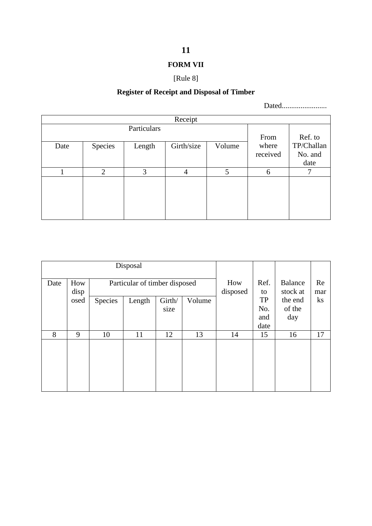## **FORM VII**

## [Rule 8]

## **Register of Receipt and Disposal of Timber**

Dated........................

| Receipt |                |        |            |        |          |            |  |  |  |
|---------|----------------|--------|------------|--------|----------|------------|--|--|--|
|         |                |        |            |        |          |            |  |  |  |
|         |                |        |            |        | From     | Ref. to    |  |  |  |
| Date    | Species        | Length | Girth/size | Volume | where    | TP/Challan |  |  |  |
|         |                |        |            |        | received | No. and    |  |  |  |
|         |                |        |            |        |          | date       |  |  |  |
|         | $\overline{2}$ | 3      | 4          | 5      | 6        | 7          |  |  |  |
|         |                |        |            |        |          |            |  |  |  |
|         |                |        |            |        |          |            |  |  |  |
|         |                |        |            |        |          |            |  |  |  |
|         |                |        |            |        |          |            |  |  |  |
|         |                |        |            |        |          |            |  |  |  |

|      |             |         | Disposal                      |        |                 |            |                            |               |          |
|------|-------------|---------|-------------------------------|--------|-----------------|------------|----------------------------|---------------|----------|
| Date | How<br>disp |         | Particular of timber disposed |        | How<br>disposed | Ref.<br>to | <b>Balance</b><br>stock at | Re<br>mar     |          |
|      | osed        | Species | Length                        | Girth/ | Volume          |            | <b>TP</b>                  | the end       | $\rm ks$ |
|      |             |         |                               | size   |                 |            | No.<br>and                 | of the<br>day |          |
|      |             |         |                               |        |                 |            | date                       |               |          |
| 8    | 9           | 10      | 11                            | 12     | 13              | 14         | 15                         | 16            | 17       |
|      |             |         |                               |        |                 |            |                            |               |          |